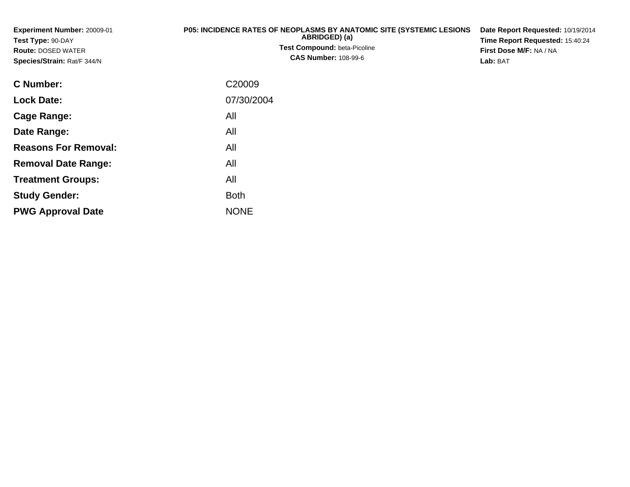| <b>Experiment Number: 20009-01</b><br>Test Type: 90-DAY<br><b>Route: DOSED WATER</b><br>Species/Strain: Rat/F 344/N | <b>P05: INCIDENCE RATES OF NEOPLASMS BY ANATOMIC SITE (SYSTEMIC LESIONS</b><br>ABRIDGED) (a)<br><b>Test Compound: beta-Picoline</b><br><b>CAS Number: 108-99-6</b> | Date Report Requested: 10/19/2014<br>Time Report Requested: 15:40:24<br><b>First Dose M/F: NA / NA</b><br>Lab: BAT |
|---------------------------------------------------------------------------------------------------------------------|--------------------------------------------------------------------------------------------------------------------------------------------------------------------|--------------------------------------------------------------------------------------------------------------------|
| C Number:                                                                                                           | C20009                                                                                                                                                             |                                                                                                                    |
| <b>Lock Date:</b>                                                                                                   | 07/30/2004                                                                                                                                                         |                                                                                                                    |

**Date Range:** All **Reasons For Removal:** All **Removal Date Range:**: All **Treatment Groups:** All **Study Gender:**Both

All

e NONE

**Cage Range:**

**PWG Approval Date**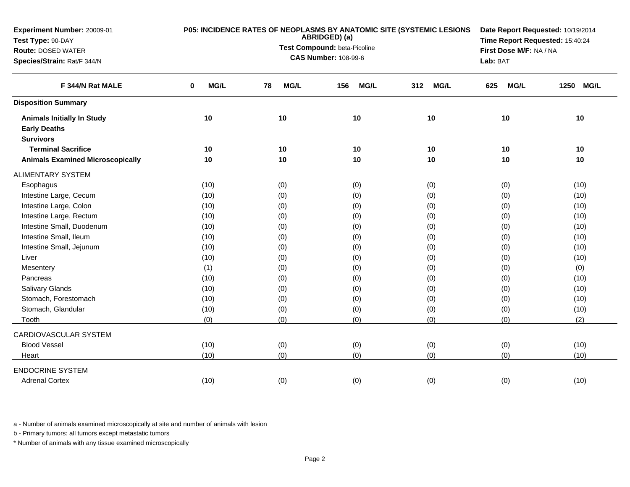| Experiment Number: 20009-01             |           | P05: INCIDENCE RATES OF NEOPLASMS BY ANATOMIC SITE (SYSTEMIC LESIONS | Date Report Requested: 10/19/2014<br>Time Report Requested: 15:40:24 |                         |                    |                     |
|-----------------------------------------|-----------|----------------------------------------------------------------------|----------------------------------------------------------------------|-------------------------|--------------------|---------------------|
| Test Type: 90-DAY                       |           | ABRIDGED) (a)<br>Test Compound: beta-Picoline                        |                                                                      |                         |                    |                     |
| <b>Route: DOSED WATER</b>               |           |                                                                      |                                                                      | First Dose M/F: NA / NA |                    |                     |
| Species/Strain: Rat/F 344/N             |           |                                                                      | <b>CAS Number: 108-99-6</b>                                          |                         | Lab: BAT           |                     |
| F 344/N Rat MALE                        | MG/L<br>0 | MG/L<br>78                                                           | 156<br><b>MG/L</b>                                                   | 312<br><b>MG/L</b>      | <b>MG/L</b><br>625 | <b>MG/L</b><br>1250 |
| <b>Disposition Summary</b>              |           |                                                                      |                                                                      |                         |                    |                     |
| <b>Animals Initially In Study</b>       | 10        | 10                                                                   | 10                                                                   | 10                      | 10                 | 10                  |
| <b>Early Deaths</b>                     |           |                                                                      |                                                                      |                         |                    |                     |
| <b>Survivors</b>                        |           |                                                                      |                                                                      |                         |                    |                     |
| <b>Terminal Sacrifice</b>               | 10        | 10                                                                   | 10                                                                   | 10                      | 10                 | 10                  |
| <b>Animals Examined Microscopically</b> | 10        | 10                                                                   | 10                                                                   | 10                      | 10                 | 10                  |
| <b>ALIMENTARY SYSTEM</b>                |           |                                                                      |                                                                      |                         |                    |                     |
| Esophagus                               | (10)      | (0)                                                                  | (0)                                                                  | (0)                     | (0)                | (10)                |
| Intestine Large, Cecum                  | (10)      | (0)                                                                  | (0)                                                                  | (0)                     | (0)                | (10)                |
| Intestine Large, Colon                  | (10)      | (0)                                                                  | (0)                                                                  | (0)                     | (0)                | (10)                |
| Intestine Large, Rectum                 | (10)      | (0)                                                                  | (0)                                                                  | (0)                     | (0)                | (10)                |
| Intestine Small, Duodenum               | (10)      | (0)                                                                  | (0)                                                                  | (0)                     | (0)                | (10)                |
| Intestine Small, Ileum                  | (10)      | (0)                                                                  | (0)                                                                  | (0)                     | (0)                | (10)                |
| Intestine Small, Jejunum                | (10)      | (0)                                                                  | (0)                                                                  | (0)                     | (0)                | (10)                |
| Liver                                   | (10)      | (0)                                                                  | (0)                                                                  | (0)                     | (0)                | (10)                |
| Mesentery                               | (1)       | (0)                                                                  | (0)                                                                  | (0)                     | (0)                | (0)                 |
| Pancreas                                | (10)      | (0)                                                                  | (0)                                                                  | (0)                     | (0)                | (10)                |
| Salivary Glands                         | (10)      | (0)                                                                  | (0)                                                                  | (0)                     | (0)                | (10)                |
| Stomach, Forestomach                    | (10)      | (0)                                                                  | (0)                                                                  | (0)                     | (0)                | (10)                |
| Stomach, Glandular                      | (10)      | (0)                                                                  | (0)                                                                  | (0)                     | (0)                | (10)                |
| Tooth                                   | (0)       | (0)                                                                  | (0)                                                                  | (0)                     | (0)                | (2)                 |
| CARDIOVASCULAR SYSTEM                   |           |                                                                      |                                                                      |                         |                    |                     |
| <b>Blood Vessel</b>                     | (10)      | (0)                                                                  | (0)                                                                  | (0)                     | (0)                | (10)                |
| Heart                                   | (10)      | (0)                                                                  | (0)                                                                  | (0)                     | (0)                | (10)                |
| <b>ENDOCRINE SYSTEM</b>                 |           |                                                                      |                                                                      |                         |                    |                     |
| <b>Adrenal Cortex</b>                   | (10)      | (0)                                                                  | (0)                                                                  | (0)                     | (0)                | (10)                |

b - Primary tumors: all tumors except metastatic tumors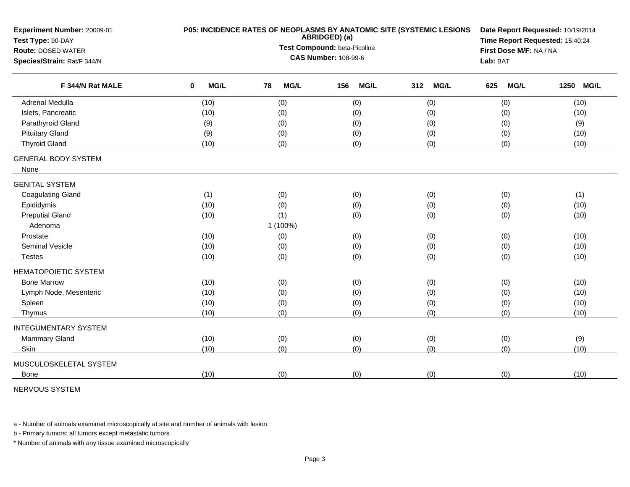| Experiment Number: 20009-01<br>Test Type: 90-DAY | P05: INCIDENCE RATES OF NEOPLASMS BY ANATOMIC SITE (SYSTEMIC LESIONS | Date Report Requested: 10/19/2014<br>Time Report Requested: 15:40:24 |                             |                    |                    |                     |
|--------------------------------------------------|----------------------------------------------------------------------|----------------------------------------------------------------------|-----------------------------|--------------------|--------------------|---------------------|
| <b>Route: DOSED WATER</b>                        |                                                                      | Test Compound: beta-Picoline                                         | First Dose M/F: NA / NA     |                    |                    |                     |
| Species/Strain: Rat/F 344/N                      |                                                                      |                                                                      | <b>CAS Number: 108-99-6</b> |                    | Lab: BAT           |                     |
|                                                  |                                                                      |                                                                      |                             |                    |                    |                     |
| F 344/N Rat MALE                                 | MG/L<br>0                                                            | 78<br><b>MG/L</b>                                                    | <b>MG/L</b><br>156          | 312<br><b>MG/L</b> | 625<br><b>MG/L</b> | <b>MG/L</b><br>1250 |
| <b>Adrenal Medulla</b>                           | (10)                                                                 | (0)                                                                  | (0)                         | (0)                | (0)                | (10)                |
| Islets, Pancreatic                               | (10)                                                                 | (0)                                                                  | (0)                         | (0)                | (0)                | (10)                |
| Parathyroid Gland                                | (9)                                                                  | (0)                                                                  | (0)                         | (0)                | (0)                | (9)                 |
| <b>Pituitary Gland</b>                           | (9)                                                                  | (0)                                                                  | (0)                         | (0)                | (0)                | (10)                |
| <b>Thyroid Gland</b>                             | (10)                                                                 | (0)                                                                  | (0)                         | (0)                | (0)                | (10)                |
| <b>GENERAL BODY SYSTEM</b>                       |                                                                      |                                                                      |                             |                    |                    |                     |
| None                                             |                                                                      |                                                                      |                             |                    |                    |                     |
| <b>GENITAL SYSTEM</b>                            |                                                                      |                                                                      |                             |                    |                    |                     |
| <b>Coagulating Gland</b>                         | (1)                                                                  | (0)                                                                  | (0)                         | (0)                | (0)                | (1)                 |
| Epididymis                                       | (10)                                                                 | (0)                                                                  | (0)                         | (0)                | (0)                | (10)                |
| <b>Preputial Gland</b>                           | (10)                                                                 | (1)                                                                  | (0)                         | (0)                | (0)                | (10)                |
| Adenoma                                          |                                                                      | 1 (100%)                                                             |                             |                    |                    |                     |
| Prostate                                         | (10)                                                                 | (0)                                                                  | (0)                         | (0)                | (0)                | (10)                |
| Seminal Vesicle                                  | (10)                                                                 | (0)                                                                  | (0)                         | (0)                | (0)                | (10)                |
| <b>Testes</b>                                    | (10)                                                                 | (0)                                                                  | (0)                         | (0)                | (0)                | (10)                |
| <b>HEMATOPOIETIC SYSTEM</b>                      |                                                                      |                                                                      |                             |                    |                    |                     |
| <b>Bone Marrow</b>                               | (10)                                                                 | (0)                                                                  | (0)                         | (0)                | (0)                | (10)                |
| Lymph Node, Mesenteric                           | (10)                                                                 | (0)                                                                  | (0)                         | (0)                | (0)                | (10)                |
| Spleen                                           | (10)                                                                 | (0)                                                                  | (0)                         | (0)                | (0)                | (10)                |
| Thymus                                           | (10)                                                                 | (0)                                                                  | (0)                         | (0)                | (0)                | (10)                |
| <b>INTEGUMENTARY SYSTEM</b>                      |                                                                      |                                                                      |                             |                    |                    |                     |
| <b>Mammary Gland</b>                             | (10)                                                                 | (0)                                                                  | (0)                         | (0)                | (0)                | (9)                 |
| Skin                                             | (10)                                                                 | (0)                                                                  | (0)                         | (0)                | (0)                | (10)                |
| MUSCULOSKELETAL SYSTEM                           |                                                                      |                                                                      |                             |                    |                    |                     |
| <b>Bone</b>                                      | (10)                                                                 | (0)                                                                  | (0)                         | (0)                | (0)                | (10)                |

NERVOUS SYSTEM

a - Number of animals examined microscopically at site and number of animals with lesion

b - Primary tumors: all tumors except metastatic tumors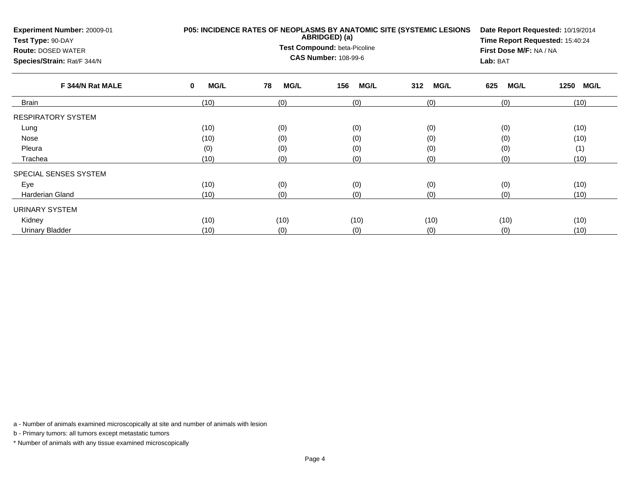| Experiment Number: 20009-01<br>Test Type: 90-DAY<br><b>Route: DOSED WATER</b><br>Species/Strain: Rat/F 344/N | <b>P05: INCIDENCE RATES OF NEOPLASMS BY ANATOMIC SITE (SYSTEMIC LESIONS</b> | Date Report Requested: 10/19/2014<br>Time Report Requested: 15:40:24<br>First Dose M/F: NA / NA<br>Lab: BAT |                    |                    |                    |                     |  |
|--------------------------------------------------------------------------------------------------------------|-----------------------------------------------------------------------------|-------------------------------------------------------------------------------------------------------------|--------------------|--------------------|--------------------|---------------------|--|
| F 344/N Rat MALE                                                                                             | <b>MG/L</b><br>0                                                            | 78<br><b>MG/L</b>                                                                                           | <b>MG/L</b><br>156 | <b>MG/L</b><br>312 | <b>MG/L</b><br>625 | 1250<br><b>MG/L</b> |  |
| Brain                                                                                                        | (10)                                                                        | (0)                                                                                                         | (0)                | (0)                | (0)                | (10)                |  |
| <b>RESPIRATORY SYSTEM</b>                                                                                    |                                                                             |                                                                                                             |                    |                    |                    |                     |  |
| Lung                                                                                                         | (10)                                                                        | (0)                                                                                                         | (0)                | (0)                | (0)                | (10)                |  |
| Nose                                                                                                         | (10)                                                                        | (0)                                                                                                         | (0)                | (0)                | (0)                | (10)                |  |
| Pleura                                                                                                       | (0)                                                                         | (0)                                                                                                         | (0)                | (0)                | (1)<br>(0)         |                     |  |
| Trachea                                                                                                      | (10)                                                                        | (0)                                                                                                         | (0)                | (0)                | (0)                | (10)                |  |
| SPECIAL SENSES SYSTEM                                                                                        |                                                                             |                                                                                                             |                    |                    |                    |                     |  |
| Eye                                                                                                          | (10)                                                                        | (0)                                                                                                         | (0)                | (0)                | (0)                | (10)                |  |
| Harderian Gland                                                                                              | (10)                                                                        | (0)                                                                                                         | (0)                | (0)                | (0)                | (10)                |  |
| <b>URINARY SYSTEM</b>                                                                                        |                                                                             |                                                                                                             |                    |                    |                    |                     |  |
| Kidney                                                                                                       | (10)                                                                        | (10)                                                                                                        | (10)               | (10)               | (10)               | (10)                |  |
| <b>Urinary Bladder</b>                                                                                       | (10)                                                                        | (0)                                                                                                         | (0)                | (0)                | (0)                | (10)                |  |

b - Primary tumors: all tumors except metastatic tumors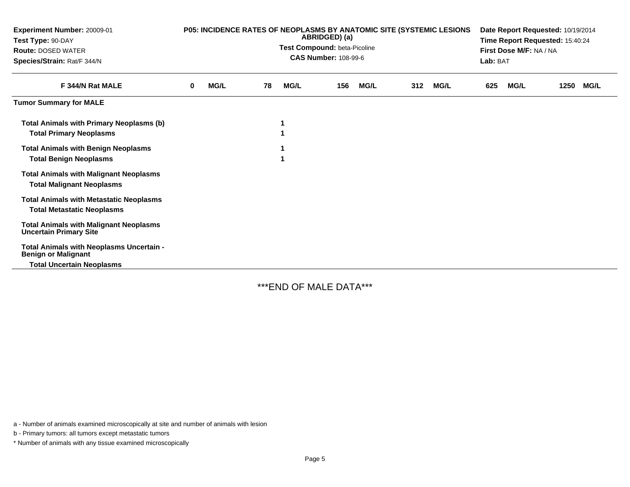| <b>Experiment Number: 20009-01</b><br>Test Type: 90-DAY<br><b>Route: DOSED WATER</b><br>Species/Strain: Rat/F 344/N | P05: INCIDENCE RATES OF NEOPLASMS BY ANATOMIC SITE (SYSTEMIC LESIONS<br>ABRIDGED) (a)<br>Test Compound: beta-Picoline<br><b>CAS Number: 108-99-6</b> |             |    |             |     |             |     |             | Date Report Requested: 10/19/2014<br>Time Report Requested: 15:40:24<br>First Dose M/F: NA / NA<br>Lab: BAT |             |      |             |
|---------------------------------------------------------------------------------------------------------------------|------------------------------------------------------------------------------------------------------------------------------------------------------|-------------|----|-------------|-----|-------------|-----|-------------|-------------------------------------------------------------------------------------------------------------|-------------|------|-------------|
| F 344/N Rat MALE                                                                                                    | 0                                                                                                                                                    | <b>MG/L</b> | 78 | <b>MG/L</b> | 156 | <b>MG/L</b> | 312 | <b>MG/L</b> | 625                                                                                                         | <b>MG/L</b> | 1250 | <b>MG/L</b> |
| <b>Tumor Summary for MALE</b>                                                                                       |                                                                                                                                                      |             |    |             |     |             |     |             |                                                                                                             |             |      |             |
| <b>Total Animals with Primary Neoplasms (b)</b><br><b>Total Primary Neoplasms</b>                                   |                                                                                                                                                      |             |    |             |     |             |     |             |                                                                                                             |             |      |             |
| <b>Total Animals with Benign Neoplasms</b><br><b>Total Benign Neoplasms</b>                                         |                                                                                                                                                      |             |    |             |     |             |     |             |                                                                                                             |             |      |             |
| <b>Total Animals with Malignant Neoplasms</b><br><b>Total Malignant Neoplasms</b>                                   |                                                                                                                                                      |             |    |             |     |             |     |             |                                                                                                             |             |      |             |
| <b>Total Animals with Metastatic Neoplasms</b><br><b>Total Metastatic Neoplasms</b>                                 |                                                                                                                                                      |             |    |             |     |             |     |             |                                                                                                             |             |      |             |
| <b>Total Animals with Malignant Neoplasms</b><br><b>Uncertain Primary Site</b>                                      |                                                                                                                                                      |             |    |             |     |             |     |             |                                                                                                             |             |      |             |
| Total Animals with Neoplasms Uncertain -<br><b>Benign or Malignant</b><br><b>Total Uncertain Neoplasms</b>          |                                                                                                                                                      |             |    |             |     |             |     |             |                                                                                                             |             |      |             |

\*\*\*END OF MALE DATA\*\*\*

a - Number of animals examined microscopically at site and number of animals with lesion

b - Primary tumors: all tumors except metastatic tumors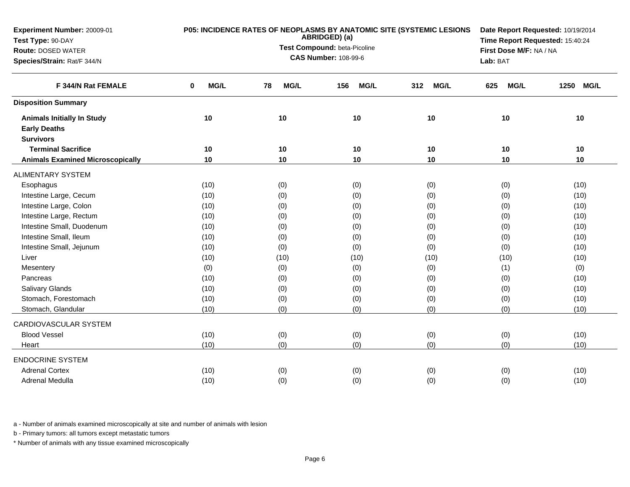| Experiment Number: 20009-01             |           | P05: INCIDENCE RATES OF NEOPLASMS BY ANATOMIC SITE (SYSTEMIC LESIONS<br>ABRIDGED) (a) | Date Report Requested: 10/19/2014<br>Time Report Requested: 15:40:24 |                    |                         |                     |
|-----------------------------------------|-----------|---------------------------------------------------------------------------------------|----------------------------------------------------------------------|--------------------|-------------------------|---------------------|
| Test Type: 90-DAY                       |           |                                                                                       |                                                                      |                    |                         |                     |
| <b>Route: DOSED WATER</b>               |           |                                                                                       | Test Compound: beta-Picoline<br><b>CAS Number: 108-99-6</b>          |                    | First Dose M/F: NA / NA |                     |
| Species/Strain: Rat/F 344/N             |           |                                                                                       |                                                                      |                    | Lab: BAT                |                     |
| F 344/N Rat FEMALE                      | MG/L<br>0 | MG/L<br>78                                                                            | <b>MG/L</b><br>156                                                   | <b>MG/L</b><br>312 | <b>MG/L</b><br>625      | 1250<br><b>MG/L</b> |
| <b>Disposition Summary</b>              |           |                                                                                       |                                                                      |                    |                         |                     |
| <b>Animals Initially In Study</b>       | 10        | 10                                                                                    | 10                                                                   | 10                 | 10                      | 10                  |
| <b>Early Deaths</b>                     |           |                                                                                       |                                                                      |                    |                         |                     |
| <b>Survivors</b>                        |           |                                                                                       |                                                                      |                    |                         |                     |
| <b>Terminal Sacrifice</b>               | 10        | 10                                                                                    | 10                                                                   | 10                 | 10                      | 10                  |
| <b>Animals Examined Microscopically</b> | 10        | 10                                                                                    | 10                                                                   | 10                 | 10                      | 10                  |
| <b>ALIMENTARY SYSTEM</b>                |           |                                                                                       |                                                                      |                    |                         |                     |
| Esophagus                               | (10)      | (0)                                                                                   | (0)                                                                  | (0)                | (0)                     | (10)                |
| Intestine Large, Cecum                  | (10)      | (0)                                                                                   | (0)                                                                  | (0)                | (0)                     | (10)                |
| Intestine Large, Colon                  | (10)      | (0)                                                                                   | (0)                                                                  | (0)                | (0)                     | (10)                |
| Intestine Large, Rectum                 | (10)      | (0)                                                                                   | (0)                                                                  | (0)                | (0)                     | (10)                |
| Intestine Small, Duodenum               | (10)      | (0)                                                                                   | (0)                                                                  | (0)                | (0)                     | (10)                |
| Intestine Small, Ileum                  | (10)      | (0)                                                                                   | (0)                                                                  | (0)                | (0)                     | (10)                |
| Intestine Small, Jejunum                | (10)      | (0)                                                                                   | (0)                                                                  | (0)                | (0)                     | (10)                |
| Liver                                   | (10)      | (10)                                                                                  | (10)                                                                 | (10)               | (10)                    | (10)                |
| Mesentery                               | (0)       | (0)                                                                                   | (0)                                                                  | (0)                | (1)                     | (0)                 |
| Pancreas                                | (10)      | (0)                                                                                   | (0)                                                                  | (0)                | (0)                     | (10)                |
| Salivary Glands                         | (10)      | (0)                                                                                   | (0)                                                                  | (0)                | (0)                     | (10)                |
| Stomach, Forestomach                    | (10)      | (0)                                                                                   | (0)                                                                  | (0)                | (0)                     | (10)                |
| Stomach, Glandular                      | (10)      | (0)                                                                                   | (0)                                                                  | (0)                | (0)                     | (10)                |
| CARDIOVASCULAR SYSTEM                   |           |                                                                                       |                                                                      |                    |                         |                     |
| <b>Blood Vessel</b>                     | (10)      | (0)                                                                                   | (0)                                                                  | (0)                | (0)                     | (10)                |
| Heart                                   | (10)      | (0)                                                                                   | (0)                                                                  | (0)                | (0)                     | (10)                |
| <b>ENDOCRINE SYSTEM</b>                 |           |                                                                                       |                                                                      |                    |                         |                     |
| <b>Adrenal Cortex</b>                   | (10)      | (0)                                                                                   | (0)                                                                  | (0)                | (0)                     | (10)                |
| Adrenal Medulla                         | (10)      | (0)                                                                                   | (0)                                                                  | (0)                | (0)                     | (10)                |

b - Primary tumors: all tumors except metastatic tumors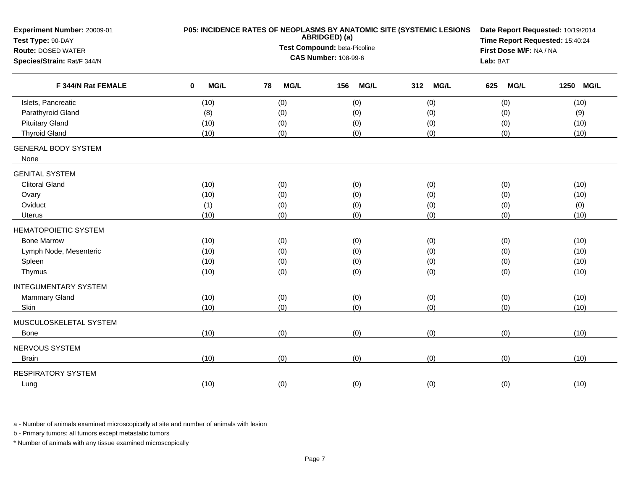| Experiment Number: 20009-01<br>Test Type: 90-DAY | P05: INCIDENCE RATES OF NEOPLASMS BY ANATOMIC SITE (SYSTEMIC LESIONS | Date Report Requested: 10/19/2014<br>Time Report Requested: 15:40:24 |                         |                    |                    |                     |
|--------------------------------------------------|----------------------------------------------------------------------|----------------------------------------------------------------------|-------------------------|--------------------|--------------------|---------------------|
| <b>Route: DOSED WATER</b>                        |                                                                      | Test Compound: beta-Picoline                                         | First Dose M/F: NA / NA |                    |                    |                     |
| Species/Strain: Rat/F 344/N                      |                                                                      | <b>CAS Number: 108-99-6</b>                                          |                         | Lab: BAT           |                    |                     |
| F 344/N Rat FEMALE                               | <b>MG/L</b><br>0                                                     | <b>MG/L</b><br>78                                                    | MG/L<br>156             | 312<br><b>MG/L</b> | <b>MG/L</b><br>625 | 1250<br><b>MG/L</b> |
| Islets, Pancreatic                               | (10)                                                                 | (0)                                                                  | (0)                     | (0)                | (0)                | (10)                |
| Parathyroid Gland                                | (8)                                                                  | (0)                                                                  | (0)                     | (0)                | (0)                | (9)                 |
| <b>Pituitary Gland</b>                           | (10)                                                                 | (0)                                                                  | (0)                     | (0)                | (0)                | (10)                |
| <b>Thyroid Gland</b>                             | (10)                                                                 | (0)                                                                  | (0)                     | (0)                | (0)                | (10)                |
| <b>GENERAL BODY SYSTEM</b><br>None               |                                                                      |                                                                      |                         |                    |                    |                     |
| <b>GENITAL SYSTEM</b>                            |                                                                      |                                                                      |                         |                    |                    |                     |
| <b>Clitoral Gland</b>                            | (10)                                                                 | (0)                                                                  | (0)                     | (0)                | (0)                | (10)                |
| Ovary                                            | (10)                                                                 | (0)                                                                  | (0)                     | (0)                | (0)                | (10)                |
| Oviduct                                          | (1)                                                                  | (0)                                                                  | (0)                     | (0)                | (0)                | (0)                 |
| Uterus                                           | (10)                                                                 | (0)                                                                  | (0)                     | (0)                | (0)                | (10)                |
| <b>HEMATOPOIETIC SYSTEM</b>                      |                                                                      |                                                                      |                         |                    |                    |                     |
| <b>Bone Marrow</b>                               | (10)                                                                 | (0)                                                                  | (0)                     | (0)                | (0)                | (10)                |
| Lymph Node, Mesenteric                           | (10)                                                                 | (0)                                                                  | (0)                     | (0)                | (0)                | (10)                |
| Spleen                                           | (10)                                                                 | (0)                                                                  | (0)                     | (0)                | (0)                | (10)                |
| Thymus                                           | (10)                                                                 | (0)                                                                  | (0)                     | (0)                | (0)                | (10)                |
| <b>INTEGUMENTARY SYSTEM</b>                      |                                                                      |                                                                      |                         |                    |                    |                     |
| Mammary Gland                                    | (10)                                                                 | (0)                                                                  | (0)                     | (0)                | (0)                | (10)                |
| Skin                                             | (10)                                                                 | (0)                                                                  | (0)                     | (0)                | (0)                | (10)                |
| MUSCULOSKELETAL SYSTEM                           |                                                                      |                                                                      |                         |                    |                    |                     |
| Bone                                             | (10)                                                                 | (0)                                                                  | (0)                     | (0)                | (0)                | (10)                |
| NERVOUS SYSTEM                                   |                                                                      |                                                                      |                         |                    |                    |                     |
| <b>Brain</b>                                     | (10)                                                                 | (0)                                                                  | (0)                     | (0)                | (0)                | (10)                |
| <b>RESPIRATORY SYSTEM</b>                        |                                                                      |                                                                      |                         |                    |                    |                     |
| Lung                                             | (10)                                                                 | (0)                                                                  | (0)                     | (0)                | (0)                | (10)                |

b - Primary tumors: all tumors except metastatic tumors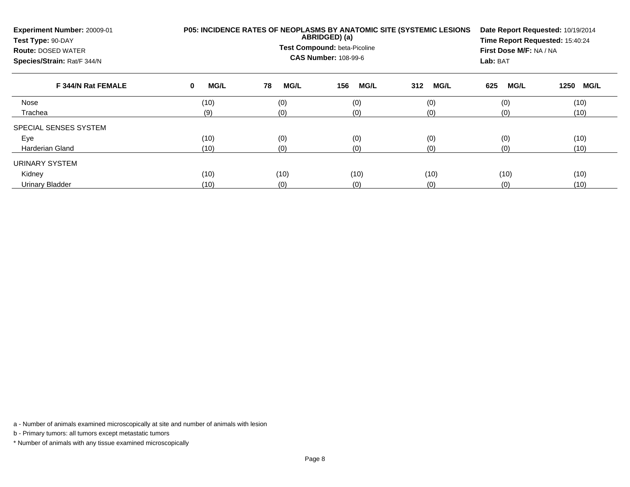| Experiment Number: 20009-01<br>Test Type: 90-DAY<br><b>Route: DOSED WATER</b><br>Species/Strain: Rat/F 344/N |                  | <b>P05: INCIDENCE RATES OF NEOPLASMS BY ANATOMIC SITE (SYSTEMIC LESIONS</b><br>ABRIDGED) (a)<br>Test Compound: beta-Picoline<br><b>CAS Number: 108-99-6</b> |                    |                    |                    |                     |  |  |  |  |
|--------------------------------------------------------------------------------------------------------------|------------------|-------------------------------------------------------------------------------------------------------------------------------------------------------------|--------------------|--------------------|--------------------|---------------------|--|--|--|--|
| F 344/N Rat FEMALE                                                                                           | <b>MG/L</b><br>0 | 78<br><b>MG/L</b>                                                                                                                                           | <b>MG/L</b><br>156 | <b>MG/L</b><br>312 | <b>MG/L</b><br>625 | 1250<br><b>MG/L</b> |  |  |  |  |
| Nose                                                                                                         | (10)             | (0)                                                                                                                                                         | (0)                | (0)                | (0)                | (10)                |  |  |  |  |
| Trachea                                                                                                      | (9)              | (0)                                                                                                                                                         | (0)                | (0)                | (0)                | (10)                |  |  |  |  |
| SPECIAL SENSES SYSTEM                                                                                        |                  |                                                                                                                                                             |                    |                    |                    |                     |  |  |  |  |
| Eye                                                                                                          | (10)             | (0)                                                                                                                                                         | (0)                | (0)                | (0)                | (10)                |  |  |  |  |
| Harderian Gland                                                                                              | (10)             | (0)                                                                                                                                                         | (0)                | (0)                | (0)<br>(10)        |                     |  |  |  |  |
| URINARY SYSTEM                                                                                               |                  |                                                                                                                                                             |                    |                    |                    |                     |  |  |  |  |
| Kidney                                                                                                       | (10)             | (10)                                                                                                                                                        | (10)               | (10)               | (10)               | (10)                |  |  |  |  |
| <b>Urinary Bladder</b>                                                                                       | (10)             | (0)                                                                                                                                                         | (0)                | (0)                | (0)                | (10)                |  |  |  |  |

b - Primary tumors: all tumors except metastatic tumors